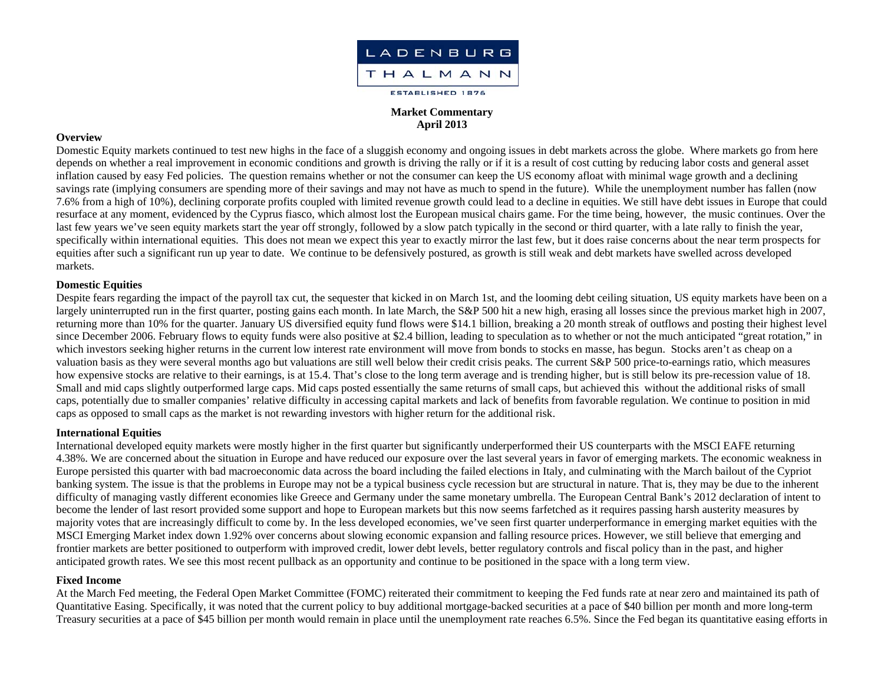

# **Market Commentary April 2013**

### **Overview**

Domestic Equity markets continued to test new highs in the face of a sluggish economy and ongoing issues in debt markets across the globe. Where markets go from here depends on whether a real improvement in economic conditions and growth is driving the rally or if it is a result of cost cutting by reducing labor costs and general asset inflation caused by easy Fed policies. The question remains whether or not the consumer can keep the US economy afloat with minimal wage growth and a declining savings rate (implying consumers are spending more of their savings and may not have as much to spend in the future). While the unemployment number has fallen (now 7.6% from a high of 10%), declining corporate profits coupled with limited revenue growth could lead to a decline in equities. We still have debt issues in Europe that could resurface at any moment, evidenced by the Cyprus fiasco, which almost lost the European musical chairs game. For the time being, however, the music continues. Over the last few years we've seen equity markets start the year off strongly, followed by a slow patch typically in the second or third quarter, with a late rally to finish the year, specifically within international equities. This does not mean we expect this year to exactly mirror the last few, but it does raise concerns about the near term prospects for equities after such a significant run up year to date. We continue to be defensively postured, as growth is still weak and debt markets have swelled across developed markets.

## **Domestic Equities**

Despite fears regarding the impact of the payroll tax cut, the sequester that kicked in on March 1st, and the looming debt ceiling situation, US equity markets have been on a largely uninterrupted run in the first quarter, posting gains each month. In late March, the S&P 500 hit a new high, erasing all losses since the previous market high in 2007, returning more than 10% for the quarter. January US diversified equity fund flows were \$14.1 billion, breaking a 20 month streak of outflows and posting their highest level since December 2006. February flows to equity funds were also positive at \$2.4 billion, leading to speculation as to whether or not the much anticipated "great rotation," in which investors seeking higher returns in the current low interest rate environment will move from bonds to stocks en masse, has begun. Stocks aren't as cheap on a valuation basis as they were several months ago but valuations are still well below their credit crisis peaks. The current S&P 500 price-to-earnings ratio, which measures how expensive stocks are relative to their earnings, is at 15.4. That's close to the long term average and is trending higher, but is still below its pre-recession value of 18. Small and mid caps slightly outperformed large caps. Mid caps posted essentially the same returns of small caps, but achieved this without the additional risks of small caps, potentially due to smaller companies' relative difficulty in accessing capital markets and lack of benefits from favorable regulation. We continue to position in mid caps as opposed to small caps as the market is not rewarding investors with higher return for the additional risk.

#### **International Equities**

International developed equity markets were mostly higher in the first quarter but significantly underperformed their US counterparts with the MSCI EAFE returning 4.38%. We are concerned about the situation in Europe and have reduced our exposure over the last several years in favor of emerging markets. The economic weakness in Europe persisted this quarter with bad macroeconomic data across the board including the failed elections in Italy, and culminating with the March bailout of the Cypriot banking system. The issue is that the problems in Europe may not be a typical business cycle recession but are structural in nature. That is, they may be due to the inherent difficulty of managing vastly different economies like Greece and Germany under the same monetary umbrella. The European Central Bank's 2012 declaration of intent to become the lender of last resort provided some support and hope to European markets but this now seems farfetched as it requires passing harsh austerity measures by majority votes that are increasingly difficult to come by. In the less developed economies, we've seen first quarter underperformance in emerging market equities with the MSCI Emerging Market index down 1.92% over concerns about slowing economic expansion and falling resource prices. However, we still believe that emerging and frontier markets are better positioned to outperform with improved credit, lower debt levels, better regulatory controls and fiscal policy than in the past, and higher anticipated growth rates. We see this most recent pullback as an opportunity and continue to be positioned in the space with a long term view.

#### **Fixed Income**

At the March Fed meeting, the Federal Open Market Committee (FOMC) reiterated their commitment to keeping the Fed funds rate at near zero and maintained its path of Quantitative Easing. Specifically, it was noted that the current policy to buy additional mortgage-backed securities at a pace of \$40 billion per month and more long-term Treasury securities at a pace of \$45 billion per month would remain in place until the unemployment rate reaches 6.5%. Since the Fed began its quantitative easing efforts in